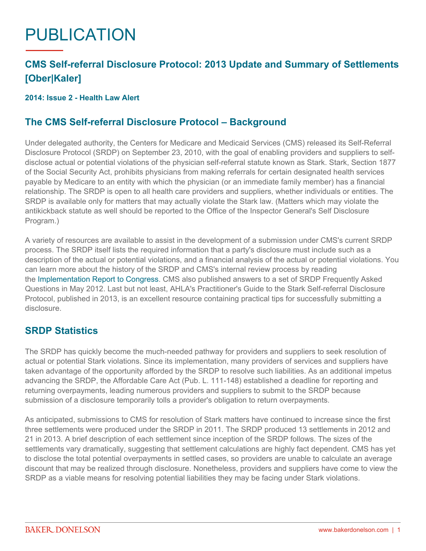# PUBLICATION

# **CMS Self-referral Disclosure Protocol: 2013 Update and Summary of Settlements [Ober|Kaler]**

### **2014: Issue 2 - Health Law Alert**

# **The CMS Self-referral Disclosure Protocol – Background**

Under delegated authority, the Centers for Medicare and Medicaid Services (CMS) released its Self-Referral Disclosure Protocol (SRDP) on September 23, 2010, with the goal of enabling providers and suppliers to selfdisclose actual or potential violations of the physician self-referral statute known as Stark. Stark, Section 1877 of the Social Security Act, prohibits physicians from making referrals for certain designated health services payable by Medicare to an entity with which the physician (or an immediate family member) has a financial relationship. The SRDP is open to all health care providers and suppliers, whether individuals or entities. The SRDP is available only for matters that may actually violate the Stark law. (Matters which may violate the antikickback statute as well should be reported to the Office of the Inspector General's Self Disclosure Program.)

A variety of resources are available to assist in the development of a submission under CMS's current SRDP process. The SRDP itself lists the required information that a party's disclosure must include such as a description of the actual or potential violations, and a financial analysis of the actual or potential violations. You can learn more about the history of the SRDP and CMS's internal review process by reading th[e Implementation Report to Congress.](http://www.cms.gov/Medicare/Fraud-and-Abuse/PhysicianSelfReferral/Downloads/CMS-SRDP-Report-to-Congress.pdf) CMS also published answers to a set of SRDP Frequently Asked Questions in May 2012. Last but not least, AHLA's Practitioner's Guide to the Stark Self-referral Disclosure Protocol, published in 2013, is an excellent resource containing practical tips for successfully submitting a disclosure.

## **SRDP Statistics**

The SRDP has quickly become the much-needed pathway for providers and suppliers to seek resolution of actual or potential Stark violations. Since its implementation, many providers of services and suppliers have taken advantage of the opportunity afforded by the SRDP to resolve such liabilities. As an additional impetus advancing the SRDP, the Affordable Care Act (Pub. L. 111-148) established a deadline for reporting and returning overpayments, leading numerous providers and suppliers to submit to the SRDP because submission of a disclosure temporarily tolls a provider's obligation to return overpayments.

As anticipated, submissions to CMS for resolution of Stark matters have continued to increase since the first three settlements were produced under the SRDP in 2011. The SRDP produced 13 settlements in 2012 and 21 in 2013. A brief description of each settlement since inception of the SRDP follows. The sizes of the settlements vary dramatically, suggesting that settlement calculations are highly fact dependent. CMS has yet to disclose the total potential overpayments in settled cases, so providers are unable to calculate an average discount that may be realized through disclosure. Nonetheless, providers and suppliers have come to view the SRDP as a viable means for resolving potential liabilities they may be facing under Stark violations.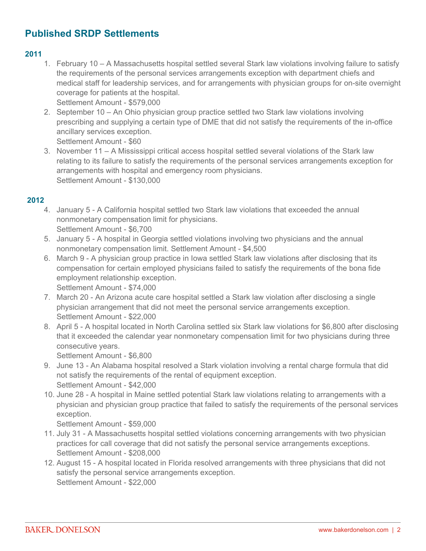# **Published SRDP Settlements**

#### **2011**

- 1. February 10 A Massachusetts hospital settled several Stark law violations involving failure to satisfy the requirements of the personal services arrangements exception with department chiefs and medical staff for leadership services, and for arrangements with physician groups for on-site overnight coverage for patients at the hospital.
	- Settlement Amount \$579,000
- 2. September 10 An Ohio physician group practice settled two Stark law violations involving prescribing and supplying a certain type of DME that did not satisfy the requirements of the in-office ancillary services exception.

Settlement Amount - \$60

3. November 11 – A Mississippi critical access hospital settled several violations of the Stark law relating to its failure to satisfy the requirements of the personal services arrangements exception for arrangements with hospital and emergency room physicians. Settlement Amount - \$130,000

#### **2012**

- 4. January 5 A California hospital settled two Stark law violations that exceeded the annual nonmonetary compensation limit for physicians. Settlement Amount - \$6,700
- 5. January 5 A hospital in Georgia settled violations involving two physicians and the annual nonmonetary compensation limit. Settlement Amount - \$4,500
- 6. March 9 A physician group practice in Iowa settled Stark law violations after disclosing that its compensation for certain employed physicians failed to satisfy the requirements of the bona fide employment relationship exception. Settlement Amount - \$74,000
- 7. March 20 An Arizona acute care hospital settled a Stark law violation after disclosing a single physician arrangement that did not meet the personal service arrangements exception. Settlement Amount - \$22,000
- 8. April 5 A hospital located in North Carolina settled six Stark law violations for \$6,800 after disclosing that it exceeded the calendar year nonmonetary compensation limit for two physicians during three consecutive years.

Settlement Amount - \$6,800

- 9. June 13 An Alabama hospital resolved a Stark violation involving a rental charge formula that did not satisfy the requirements of the rental of equipment exception. Settlement Amount - \$42,000
- 10. June 28 A hospital in Maine settled potential Stark law violations relating to arrangements with a physician and physician group practice that failed to satisfy the requirements of the personal services exception.

Settlement Amount - \$59,000

- 11. July 31 A Massachusetts hospital settled violations concerning arrangements with two physician practices for call coverage that did not satisfy the personal service arrangements exceptions. Settlement Amount - \$208,000
- 12. August 15 A hospital located in Florida resolved arrangements with three physicians that did not satisfy the personal service arrangements exception. Settlement Amount - \$22,000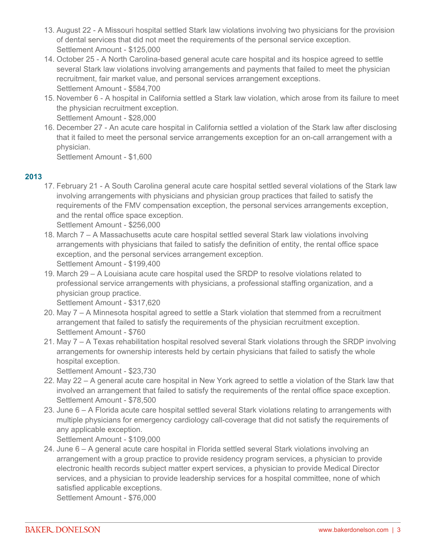- 13. August 22 A Missouri hospital settled Stark law violations involving two physicians for the provision of dental services that did not meet the requirements of the personal service exception. Settlement Amount - \$125,000
- 14. October 25 A North Carolina-based general acute care hospital and its hospice agreed to settle several Stark law violations involving arrangements and payments that failed to meet the physician recruitment, fair market value, and personal services arrangement exceptions. Settlement Amount - \$584,700
- 15. November 6 A hospital in California settled a Stark law violation, which arose from its failure to meet the physician recruitment exception. Settlement Amount - \$28,000
- 16. December 27 An acute care hospital in California settled a violation of the Stark law after disclosing that it failed to meet the personal service arrangements exception for an on-call arrangement with a physician.

Settlement Amount - \$1,600

## **2013**

17. February 21 - A South Carolina general acute care hospital settled several violations of the Stark law involving arrangements with physicians and physician group practices that failed to satisfy the requirements of the FMV compensation exception, the personal services arrangements exception, and the rental office space exception.

Settlement Amount - \$256,000

- 18. March 7 A Massachusetts acute care hospital settled several Stark law violations involving arrangements with physicians that failed to satisfy the definition of entity, the rental office space exception, and the personal services arrangement exception. Settlement Amount - \$199,400
- 19. March 29 A Louisiana acute care hospital used the SRDP to resolve violations related to professional service arrangements with physicians, a professional staffing organization, and a physician group practice.

Settlement Amount - \$317,620

- 20. May 7 A Minnesota hospital agreed to settle a Stark violation that stemmed from a recruitment arrangement that failed to satisfy the requirements of the physician recruitment exception. Settlement Amount - \$760
- 21. May 7 A Texas rehabilitation hospital resolved several Stark violations through the SRDP involving arrangements for ownership interests held by certain physicians that failed to satisfy the whole hospital exception.

Settlement Amount - \$23,730

- 22. May 22 A general acute care hospital in New York agreed to settle a violation of the Stark law that involved an arrangement that failed to satisfy the requirements of the rental office space exception. Settlement Amount - \$78,500
- 23. June 6 A Florida acute care hospital settled several Stark violations relating to arrangements with multiple physicians for emergency cardiology call-coverage that did not satisfy the requirements of any applicable exception.

Settlement Amount - \$109,000

24. June 6 – A general acute care hospital in Florida settled several Stark violations involving an arrangement with a group practice to provide residency program services, a physician to provide electronic health records subject matter expert services, a physician to provide Medical Director services, and a physician to provide leadership services for a hospital committee, none of which satisfied applicable exceptions.

Settlement Amount - \$76,000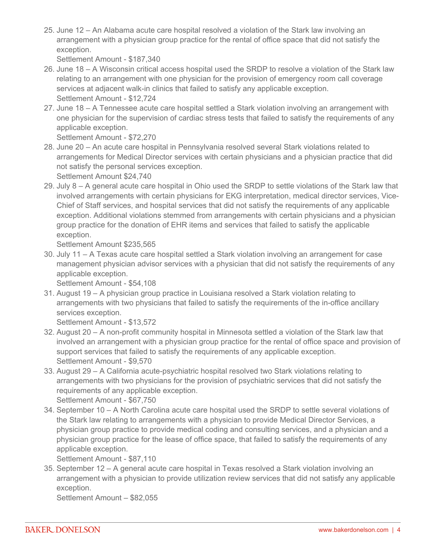25. June 12 – An Alabama acute care hospital resolved a violation of the Stark law involving an arrangement with a physician group practice for the rental of office space that did not satisfy the exception.

Settlement Amount - \$187,340

- 26. June 18 A Wisconsin critical access hospital used the SRDP to resolve a violation of the Stark law relating to an arrangement with one physician for the provision of emergency room call coverage services at adjacent walk-in clinics that failed to satisfy any applicable exception. Settlement Amount - \$12,724
- 27. June 18 A Tennessee acute care hospital settled a Stark violation involving an arrangement with one physician for the supervision of cardiac stress tests that failed to satisfy the requirements of any applicable exception.

Settlement Amount - \$72,270

28. June 20 – An acute care hospital in Pennsylvania resolved several Stark violations related to arrangements for Medical Director services with certain physicians and a physician practice that did not satisfy the personal services exception.

Settlement Amount \$24,740

29. July 8 – A general acute care hospital in Ohio used the SRDP to settle violations of the Stark law that involved arrangements with certain physicians for EKG interpretation, medical director services, Vice-Chief of Staff services, and hospital services that did not satisfy the requirements of any applicable exception. Additional violations stemmed from arrangements with certain physicians and a physician group practice for the donation of EHR items and services that failed to satisfy the applicable exception.

Settlement Amount \$235,565

30. July 11 – A Texas acute care hospital settled a Stark violation involving an arrangement for case management physician advisor services with a physician that did not satisfy the requirements of any applicable exception.

Settlement Amount - \$54,108

31. August 19 – A physician group practice in Louisiana resolved a Stark violation relating to arrangements with two physicians that failed to satisfy the requirements of the in-office ancillary services exception.

Settlement Amount - \$13,572

- 32. August 20 A non-profit community hospital in Minnesota settled a violation of the Stark law that involved an arrangement with a physician group practice for the rental of office space and provision of support services that failed to satisfy the requirements of any applicable exception. Settlement Amount - \$9,570
- 33. August 29 A California acute-psychiatric hospital resolved two Stark violations relating to arrangements with two physicians for the provision of psychiatric services that did not satisfy the requirements of any applicable exception. Settlement Amount - \$67,750
- 34. September 10 A North Carolina acute care hospital used the SRDP to settle several violations of the Stark law relating to arrangements with a physician to provide Medical Director Services, a physician group practice to provide medical coding and consulting services, and a physician and a physician group practice for the lease of office space, that failed to satisfy the requirements of any applicable exception.

Settlement Amount - \$87,110

35. September 12 – A general acute care hospital in Texas resolved a Stark violation involving an arrangement with a physician to provide utilization review services that did not satisfy any applicable exception.

Settlement Amount – \$82,055